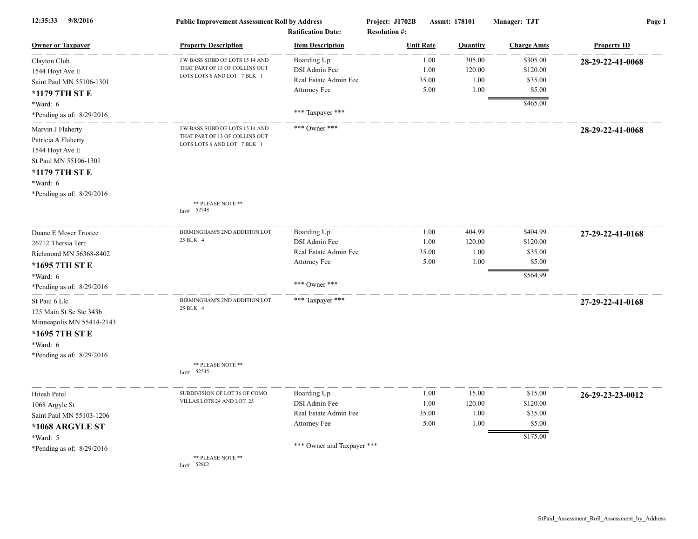| 12:35:33<br>9/8/2016                                                                                                                            | <b>Public Improvement Assessment Roll by Address</b><br><b>Ratification Date:</b>                |                                                                                                     | Project: J1702B<br><b>Resolution #:</b> | Assmt: 178101                    | Manager: TJT                                          | Page 1             |  |
|-------------------------------------------------------------------------------------------------------------------------------------------------|--------------------------------------------------------------------------------------------------|-----------------------------------------------------------------------------------------------------|-----------------------------------------|----------------------------------|-------------------------------------------------------|--------------------|--|
| <b>Owner or Taxpayer</b>                                                                                                                        | <b>Property Description</b>                                                                      | <b>Item Description</b>                                                                             | <b>Unit Rate</b>                        | <b>Ouantity</b>                  | <b>Charge Amts</b>                                    | <b>Property ID</b> |  |
| Clayton Club<br>1544 Hoyt Ave E<br>Saint Paul MN 55106-1301<br>*1179 7TH ST E<br>*Ward: 6                                                       | J W BASS SUBD OF LOTS 15 14 AND<br>THAT PART OF 13 OF COLLINS OUT<br>LOTS LOTS 6 AND LOT 7 BLK 1 | Boarding Up<br>DSI Admin Fee<br>Real Estate Admin Fee<br>Attorney Fee                               | 1.00<br>1.00<br>35.00<br>5.00           | 305.00<br>120.00<br>1.00<br>1.00 | \$305.00<br>\$120.00<br>\$35.00<br>\$5.00<br>\$465.00 | 28-29-22-41-0068   |  |
| *Pending as of: $8/29/2016$                                                                                                                     |                                                                                                  | *** Taxpayer ***                                                                                    |                                         |                                  |                                                       |                    |  |
| Marvin J Flaherty<br>Patricia A Flaherty<br>1544 Hoyt Ave E<br>St Paul MN 55106-1301<br>*1179 7TH ST E<br>*Ward: 6<br>*Pending as of: 8/29/2016 | J W BASS SUBD OF LOTS 15 14 AND<br>THAT PART OF 13 OF COLLINS OUT<br>LOTS LOTS 6 AND LOT 7 BLK 1 | *** Owner ***                                                                                       |                                         |                                  |                                                       | 28-29-22-41-0068   |  |
|                                                                                                                                                 | ** PLEASE NOTE **<br>Inv# 52748                                                                  |                                                                                                     |                                         |                                  |                                                       |                    |  |
| Duane E Moser Trustee<br>26712 Thersia Terr<br>Richmond MN 56368-8402<br>*1695 7TH ST E<br>*Ward: 6<br>*Pending as of: $8/29/2016$              | BIRMINGHAM'S 2ND ADDITION LOT<br>25 BLK 4                                                        | Boarding Up<br>DSI Admin Fee<br>Real Estate Admin Fee<br>Attorney Fee<br>*** Owner ***              | 1.00<br>1.00<br>35.00<br>5.00           | 404.99<br>120.00<br>1.00<br>1.00 | \$404.99<br>\$120.00<br>\$35.00<br>\$5.00<br>\$564.99 | 27-29-22-41-0168   |  |
| St Paul 6 Llc<br>125 Main St Se Ste 343b<br>Minneapolis MN 55414-2143<br>*1695 7TH ST E<br>*Ward: 6<br>*Pending as of: 8/29/2016                | BIRMINGHAM'S 2ND ADDITION LOT<br>25 BLK 4<br>** PLEASE NOTE **<br>52545<br>Inv#                  | *** Taxpayer ***                                                                                    |                                         |                                  |                                                       | 27-29-22-41-0168   |  |
| <b>Hitesh Patel</b><br>1068 Argyle St<br>Saint Paul MN 55103-1206<br>*1068 ARGYLE ST<br>*Ward: 5<br>*Pending as of: $8/29/2016$                 | SUBDIVISION OF LOT 36 OF COMO<br>VILLAS LOTS 24 AND LOT 25<br>** PLEASE NOTE **                  | Boarding Up<br>DSI Admin Fee<br>Real Estate Admin Fee<br>Attorney Fee<br>*** Owner and Taxpayer *** | 1.00<br>1.00<br>35.00<br>5.00           | 15.00<br>120.00<br>1.00<br>1.00  | \$15.00<br>\$120.00<br>\$35.00<br>\$5.00<br>\$175.00  | 26-29-23-23-0012   |  |
|                                                                                                                                                 | Inv# $52802$                                                                                     |                                                                                                     |                                         |                                  |                                                       |                    |  |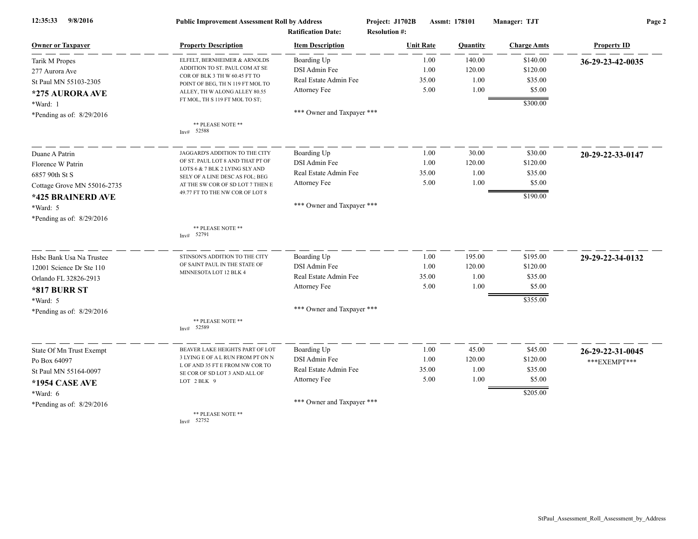| 9/8/2016<br>12:35:33        | <b>Public Improvement Assessment Roll by Address</b><br><b>Ratification Date:</b> |                            | Project: J1702B<br><b>Resolution #:</b> |                  | Assmt: 178101 | Manager: TJT       | Page 2             |  |
|-----------------------------|-----------------------------------------------------------------------------------|----------------------------|-----------------------------------------|------------------|---------------|--------------------|--------------------|--|
| <b>Owner or Taxpayer</b>    | <b>Property Description</b>                                                       | <b>Item Description</b>    |                                         | <b>Unit Rate</b> | Quantity      | <b>Charge Amts</b> | <b>Property ID</b> |  |
| Tarik M Propes              | ELFELT, BERNHEIMER & ARNOLDS                                                      | Boarding Up                |                                         | 1.00             | 140.00        | \$140.00           | 36-29-23-42-0035   |  |
| 277 Aurora Ave              | ADDITION TO ST. PAUL COM AT SE                                                    | DSI Admin Fee              |                                         | 1.00             | 120.00        | \$120.00           |                    |  |
| St Paul MN 55103-2305       | COR OF BLK 3 TH W 60.45 FT TO<br>POINT OF BEG, TH N 119 FT MOL TO                 | Real Estate Admin Fee      |                                         | 35.00            | 1.00          | \$35.00            |                    |  |
| *275 AURORA AVE             | ALLEY, TH W ALONG ALLEY 80.55                                                     | Attorney Fee               |                                         | 5.00             | 1.00          | \$5.00             |                    |  |
| *Ward: 1                    | FT MOL, TH S 119 FT MOL TO ST;                                                    |                            |                                         |                  |               | \$300.00           |                    |  |
| *Pending as of: 8/29/2016   |                                                                                   | *** Owner and Taxpayer *** |                                         |                  |               |                    |                    |  |
|                             | ** PLEASE NOTE **<br>Inv# 52588                                                   |                            |                                         |                  |               |                    |                    |  |
| Duane A Patrin              | JAGGARD'S ADDITION TO THE CITY                                                    | Boarding Up                |                                         | 1.00             | 30.00         | \$30.00            | 20-29-22-33-0147   |  |
| Florence W Patrin           | OF ST. PAUL LOT 8 AND THAT PT OF                                                  | DSI Admin Fee              |                                         | 1.00             | 120.00        | \$120.00           |                    |  |
| 6857 90th St S              | LOTS 6 & 7 BLK 2 LYING SLY AND<br>SELY OF A LINE DESC AS FOL; BEG                 | Real Estate Admin Fee      |                                         | 35.00            | 1.00          | \$35.00            |                    |  |
| Cottage Grove MN 55016-2735 | AT THE SW COR OF SD LOT 7 THEN E                                                  | Attorney Fee               |                                         | 5.00             | 1.00          | \$5.00             |                    |  |
| *425 BRAINERD AVE           | 49.77 FT TO THE NW COR OF LOT 8                                                   |                            |                                         |                  |               | \$190.00           |                    |  |
| *Ward: 5                    |                                                                                   | *** Owner and Taxpayer *** |                                         |                  |               |                    |                    |  |
| *Pending as of: 8/29/2016   |                                                                                   |                            |                                         |                  |               |                    |                    |  |
|                             | ** PLEASE NOTE **<br>Inv# 52791                                                   |                            |                                         |                  |               |                    |                    |  |
| Hsbc Bank Usa Na Trustee    | STINSON'S ADDITION TO THE CITY                                                    | Boarding Up                |                                         | 1.00             | 195.00        | \$195.00           | 29-29-22-34-0132   |  |
| 12001 Science Dr Ste 110    | OF SAINT PAUL IN THE STATE OF<br>MINNESOTA LOT 12 BLK 4                           | DSI Admin Fee              |                                         | 1.00             | 120.00        | \$120.00           |                    |  |
| Orlando FL 32826-2913       |                                                                                   | Real Estate Admin Fee      |                                         | 35.00            | 1.00          | \$35.00            |                    |  |
| <b>*817 BURR ST</b>         |                                                                                   | Attorney Fee               |                                         | 5.00             | 1.00          | \$5.00             |                    |  |
| $*Ward: 5$                  |                                                                                   |                            |                                         |                  |               | \$355.00           |                    |  |
| *Pending as of: 8/29/2016   |                                                                                   | *** Owner and Taxpayer *** |                                         |                  |               |                    |                    |  |
|                             | ** PLEASE NOTE **<br>Inv# 52589                                                   |                            |                                         |                  |               |                    |                    |  |
| State Of Mn Trust Exempt    | BEAVER LAKE HEIGHTS PART OF LOT                                                   | Boarding Up                |                                         | 1.00             | 45.00         | \$45.00            | 26-29-22-31-0045   |  |
| Po Box 64097                | 3 LYING E OF A L RUN FROM PT ON N                                                 | DSI Admin Fee              |                                         | 1.00             | 120.00        | \$120.00           | ***EXEMPT***       |  |
| St Paul MN 55164-0097       | L OF AND 35 FT E FROM NW COR TO<br>SE COR OF SD LOT 3 AND ALL OF                  | Real Estate Admin Fee      |                                         | 35.00            | 1.00          | \$35.00            |                    |  |
| <b>*1954 CASE AVE</b>       | LOT 2 BLK 9                                                                       | Attorney Fee               |                                         | 5.00             | 1.00          | \$5.00             |                    |  |
| *Ward: 6                    |                                                                                   |                            |                                         |                  |               | \$205.00           |                    |  |
| *Pending as of: 8/29/2016   |                                                                                   | *** Owner and Taxpayer *** |                                         |                  |               |                    |                    |  |
|                             | ** PLEASE NOTE **<br>Inv# 52752                                                   |                            |                                         |                  |               |                    |                    |  |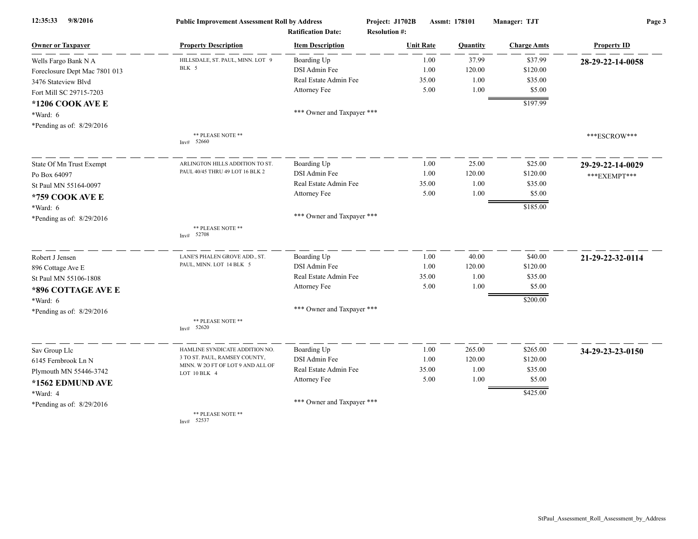| 9/8/2016<br>12:35:33          | <b>Public Improvement Assessment Roll by Address</b><br><b>Ratification Date:</b> |                            | Project: J1702B<br>Assmt: 178101<br><b>Resolution #:</b> |          | Manager: TJT       | Page 3             |  |
|-------------------------------|-----------------------------------------------------------------------------------|----------------------------|----------------------------------------------------------|----------|--------------------|--------------------|--|
| <b>Owner or Taxpayer</b>      | <b>Property Description</b>                                                       | <b>Item Description</b>    | <b>Unit Rate</b>                                         | Quantity | <b>Charge Amts</b> | <b>Property ID</b> |  |
| Wells Fargo Bank N A          | HILLSDALE, ST. PAUL, MINN. LOT 9                                                  | Boarding Up                | 1.00                                                     | 37.99    | \$37.99            | 28-29-22-14-0058   |  |
| Foreclosure Dept Mac 7801 013 | BLK 5                                                                             | DSI Admin Fee              | 1.00                                                     | 120.00   | \$120.00           |                    |  |
| 3476 Stateview Blvd           |                                                                                   | Real Estate Admin Fee      | 35.00                                                    | 1.00     | \$35.00            |                    |  |
| Fort Mill SC 29715-7203       |                                                                                   | Attorney Fee               | 5.00                                                     | 1.00     | \$5.00             |                    |  |
| *1206 COOK AVE E              |                                                                                   |                            |                                                          |          | \$197.99           |                    |  |
| $*Ward: 6$                    |                                                                                   | *** Owner and Taxpayer *** |                                                          |          |                    |                    |  |
| *Pending as of: 8/29/2016     |                                                                                   |                            |                                                          |          |                    |                    |  |
|                               | ** PLEASE NOTE **<br>Inv# 52660                                                   |                            |                                                          |          |                    | ***ESCROW***       |  |
| State Of Mn Trust Exempt      | ARLINGTON HILLS ADDITION TO ST.                                                   | Boarding Up                | 1.00                                                     | 25.00    | \$25.00            | 29-29-22-14-0029   |  |
| Po Box 64097                  | PAUL 40/45 THRU 49 LOT 16 BLK 2                                                   | DSI Admin Fee              | 1.00                                                     | 120.00   | \$120.00           | *** EXEMPT***      |  |
| St Paul MN 55164-0097         |                                                                                   | Real Estate Admin Fee      | 35.00                                                    | 1.00     | \$35.00            |                    |  |
| *759 COOK AVE E               |                                                                                   | Attorney Fee               | 5.00                                                     | 1.00     | \$5.00             |                    |  |
| *Ward: 6                      |                                                                                   |                            |                                                          |          | \$185.00           |                    |  |
| *Pending as of: 8/29/2016     |                                                                                   | *** Owner and Taxpayer *** |                                                          |          |                    |                    |  |
|                               | ** PLEASE NOTE **<br>Inv# $52708$                                                 |                            |                                                          |          |                    |                    |  |
| Robert J Jensen               | LANE'S PHALEN GROVE ADD., ST.                                                     | Boarding Up                | 1.00                                                     | 40.00    | \$40.00            | 21-29-22-32-0114   |  |
| 896 Cottage Ave E             | PAUL, MINN. LOT 14 BLK 5                                                          | DSI Admin Fee              | 1.00                                                     | 120.00   | \$120.00           |                    |  |
| St Paul MN 55106-1808         |                                                                                   | Real Estate Admin Fee      | 35.00                                                    | 1.00     | \$35.00            |                    |  |
| *896 COTTAGE AVE E            |                                                                                   | Attorney Fee               | 5.00                                                     | 1.00     | \$5.00             |                    |  |
| $*Ward: 6$                    |                                                                                   |                            |                                                          |          | \$200.00           |                    |  |
| *Pending as of: 8/29/2016     |                                                                                   | *** Owner and Taxpayer *** |                                                          |          |                    |                    |  |
|                               | ** PLEASE NOTE **<br>52620<br>Inv#                                                |                            |                                                          |          |                    |                    |  |
| Sav Group Llc                 | HAMLINE SYNDICATE ADDITION NO.                                                    | Boarding Up                | 1.00                                                     | 265.00   | \$265.00           | 34-29-23-23-0150   |  |
| 6145 Fernbrook Ln N           | 3 TO ST. PAUL, RAMSEY COUNTY,                                                     | DSI Admin Fee              | 1.00                                                     | 120.00   | \$120.00           |                    |  |
| Plymouth MN 55446-3742        | MINN. W 2O FT OF LOT 9 AND ALL OF<br>LOT 10 BLK 4                                 | Real Estate Admin Fee      | 35.00                                                    | 1.00     | \$35.00            |                    |  |
| *1562 EDMUND AVE              |                                                                                   | Attorney Fee               | 5.00                                                     | 1.00     | \$5.00             |                    |  |
| *Ward: 4                      |                                                                                   |                            |                                                          |          | \$425.00           |                    |  |
| *Pending as of: 8/29/2016     |                                                                                   | *** Owner and Taxpayer *** |                                                          |          |                    |                    |  |
|                               | ** PLEASE NOTE **<br>52537<br>Inv#                                                |                            |                                                          |          |                    |                    |  |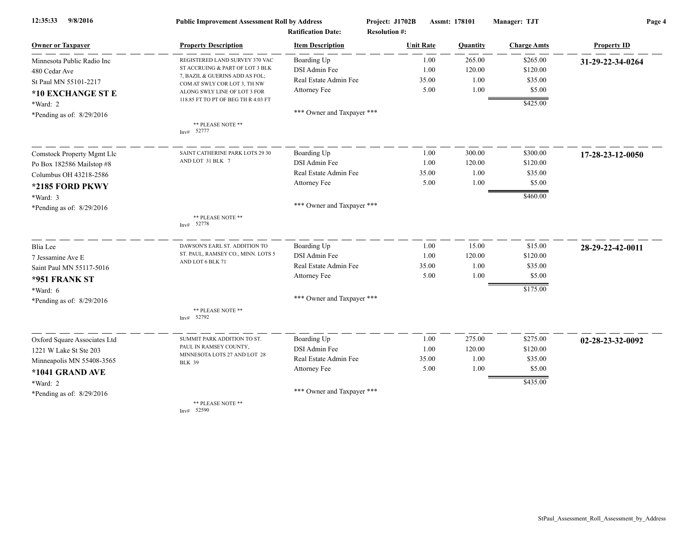| 9/8/2016<br>12:35:33         | <b>Public Improvement Assessment Roll by Address</b>           |                            | Project: J1702B      | Assmt: 178101 | Manager: TJT       | Page 4             |  |
|------------------------------|----------------------------------------------------------------|----------------------------|----------------------|---------------|--------------------|--------------------|--|
|                              |                                                                | <b>Ratification Date:</b>  | <b>Resolution #:</b> |               |                    |                    |  |
| <b>Owner or Taxpayer</b>     | <b>Property Description</b>                                    | <b>Item Description</b>    | <b>Unit Rate</b>     | Quantity      | <b>Charge Amts</b> | <b>Property ID</b> |  |
| Minnesota Public Radio Inc   | REGISTERED LAND SURVEY 370 VAC                                 | Boarding Up                | 1.00                 | 265.00        | \$265.00           | 31-29-22-34-0264   |  |
| 480 Cedar Ave                | ST ACCRUING & PART OF LOT 3 BLK                                | DSI Admin Fee              | 1.00                 | 120.00        | \$120.00           |                    |  |
| St Paul MN 55101-2217        | 7, BAZIL & GUERINS ADD AS FOL;<br>COM AT SWLY COR LOT 3, TH NW | Real Estate Admin Fee      | 35.00                | 1.00          | \$35.00            |                    |  |
| *10 EXCHANGE ST E            | ALONG SWLY LINE OF LOT 3 FOR                                   | Attorney Fee               | 5.00                 | 1.00          | \$5.00             |                    |  |
| *Ward: 2                     | 118.85 FT TO PT OF BEG TH R 4.03 FT                            |                            |                      |               | \$425.00           |                    |  |
| *Pending as of: $8/29/2016$  |                                                                | *** Owner and Taxpayer *** |                      |               |                    |                    |  |
|                              | ** PLEASE NOTE **<br>Inv# 52777                                |                            |                      |               |                    |                    |  |
| Comstock Property Mgmt Llc   | SAINT CATHERINE PARK LOTS 29 30                                | Boarding Up                | 1.00                 | 300.00        | \$300.00           | 17-28-23-12-0050   |  |
| Po Box 182586 Mailstop #8    | AND LOT 31 BLK 7                                               | DSI Admin Fee              | 1.00                 | 120.00        | \$120.00           |                    |  |
| Columbus OH 43218-2586       |                                                                | Real Estate Admin Fee      | 35.00                | 1.00          | \$35.00            |                    |  |
| *2185 FORD PKWY              |                                                                | Attorney Fee               | 5.00                 | 1.00          | \$5.00             |                    |  |
| *Ward: 3                     |                                                                |                            |                      |               | \$460.00           |                    |  |
| *Pending as of: 8/29/2016    |                                                                | *** Owner and Taxpayer *** |                      |               |                    |                    |  |
|                              | ** PLEASE NOTE **<br>Inv# 52778                                |                            |                      |               |                    |                    |  |
| Blia Lee                     | DAWSON'S EARL ST. ADDITION TO                                  | Boarding Up                | 1.00                 | 15.00         | \$15.00            | 28-29-22-42-0011   |  |
| 7 Jessamine Ave E            | ST. PAUL, RAMSEY CO., MINN. LOTS 5                             | DSI Admin Fee              | 1.00                 | 120.00        | \$120.00           |                    |  |
| Saint Paul MN 55117-5016     | AND LOT 6 BLK 71                                               | Real Estate Admin Fee      | 35.00                | 1.00          | \$35.00            |                    |  |
| *951 FRANK ST                |                                                                | Attorney Fee               | 5.00                 | 1.00          | \$5.00             |                    |  |
| $*Ward: 6$                   |                                                                |                            |                      |               | \$175.00           |                    |  |
| *Pending as of: 8/29/2016    |                                                                | *** Owner and Taxpayer *** |                      |               |                    |                    |  |
|                              | ** PLEASE NOTE **<br>Inv# 52792                                |                            |                      |               |                    |                    |  |
| Oxford Square Associates Ltd | SUMMIT PARK ADDITION TO ST.                                    | Boarding Up                | 1.00                 | 275.00        | \$275.00           | 02-28-23-32-0092   |  |
| 1221 W Lake St Ste 203       | PAUL IN RAMSEY COUNTY,                                         | DSI Admin Fee              | 1.00                 | 120.00        | \$120.00           |                    |  |
| Minneapolis MN 55408-3565    | MINNESOTA LOTS 27 AND LOT 28<br><b>BLK 39</b>                  | Real Estate Admin Fee      | 35.00                | 1.00          | \$35.00            |                    |  |
| *1041 GRAND AVE              |                                                                | Attorney Fee               | 5.00                 | 1.00          | \$5.00             |                    |  |
| *Ward: 2                     |                                                                |                            |                      |               | \$435.00           |                    |  |
| *Pending as of: 8/29/2016    |                                                                | *** Owner and Taxpayer *** |                      |               |                    |                    |  |
|                              | ** PLEASE NOTE **                                              |                            |                      |               |                    |                    |  |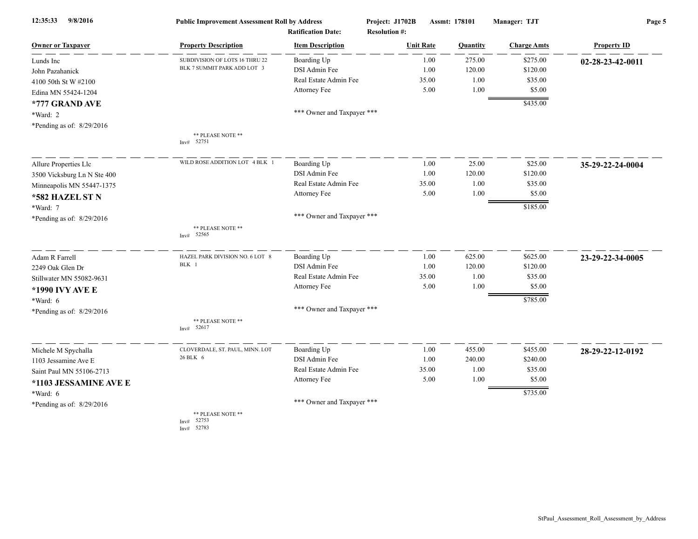| 12:35:33<br>9/8/2016        | <b>Public Improvement Assessment Roll by Address</b> |                            | Project: J1702B<br>Assmt: 178101 |                 | Manager: TJT       | Page 5             |  |
|-----------------------------|------------------------------------------------------|----------------------------|----------------------------------|-----------------|--------------------|--------------------|--|
|                             |                                                      | <b>Ratification Date:</b>  | <b>Resolution #:</b>             |                 |                    |                    |  |
| <b>Owner or Taxpayer</b>    | <b>Property Description</b>                          | <b>Item Description</b>    | <b>Unit Rate</b>                 | <b>Quantity</b> | <b>Charge Amts</b> | <b>Property ID</b> |  |
| Lunds Inc                   | SUBDIVISION OF LOTS 16 THRU 22                       | Boarding Up                | 1.00                             | 275.00          | \$275.00           | 02-28-23-42-0011   |  |
| John Pazahanick             | BLK 7 SUMMIT PARK ADD LOT 3                          | DSI Admin Fee              | 1.00                             | 120.00          | \$120.00           |                    |  |
| 4100 50th St W #2100        |                                                      | Real Estate Admin Fee      | 35.00                            | 1.00            | \$35.00            |                    |  |
| Edina MN 55424-1204         |                                                      | Attorney Fee               | 5.00                             | 1.00            | \$5.00             |                    |  |
| *777 GRAND AVE              |                                                      |                            |                                  |                 | \$435.00           |                    |  |
| *Ward: 2                    |                                                      | *** Owner and Taxpayer *** |                                  |                 |                    |                    |  |
| *Pending as of: 8/29/2016   |                                                      |                            |                                  |                 |                    |                    |  |
|                             | ** PLEASE NOTE **<br>Inv# 52751                      |                            |                                  |                 |                    |                    |  |
| Allure Properties Llc       | WILD ROSE ADDITION LOT 4 BLK 1                       | Boarding Up                | 1.00                             | 25.00           | \$25.00            | 35-29-22-24-0004   |  |
| 3500 Vicksburg Ln N Ste 400 |                                                      | DSI Admin Fee              | 1.00                             | 120.00          | \$120.00           |                    |  |
| Minneapolis MN 55447-1375   |                                                      | Real Estate Admin Fee      | 35.00                            | 1.00            | \$35.00            |                    |  |
| *582 HAZEL ST N             |                                                      | Attorney Fee               | 5.00                             | 1.00            | \$5.00             |                    |  |
| *Ward: 7                    |                                                      |                            |                                  |                 | \$185.00           |                    |  |
| *Pending as of: 8/29/2016   |                                                      | *** Owner and Taxpayer *** |                                  |                 |                    |                    |  |
|                             | ** PLEASE NOTE **<br>52565<br>Inv#                   |                            |                                  |                 |                    |                    |  |
| Adam R Farrell              | HAZEL PARK DIVISION NO. 6 LOT 8                      | Boarding Up                | 1.00                             | 625.00          | \$625.00           | 23-29-22-34-0005   |  |
| 2249 Oak Glen Dr            | BLK 1                                                | DSI Admin Fee              | 1.00                             | 120.00          | \$120.00           |                    |  |
| Stillwater MN 55082-9631    |                                                      | Real Estate Admin Fee      | 35.00                            | 1.00            | \$35.00            |                    |  |
| *1990 IVY AVE E             |                                                      | Attorney Fee               | 5.00                             | 1.00            | \$5.00             |                    |  |
| *Ward: 6                    |                                                      |                            |                                  |                 | \$785.00           |                    |  |
| *Pending as of: 8/29/2016   |                                                      | *** Owner and Taxpayer *** |                                  |                 |                    |                    |  |
|                             | ** PLEASE NOTE **<br>52617<br>Inv#                   |                            |                                  |                 |                    |                    |  |
| Michele M Spychalla         | CLOVERDALE, ST. PAUL, MINN. LOT                      | Boarding Up                | 1.00                             | 455.00          | \$455.00           | 28-29-22-12-0192   |  |
| 1103 Jessamine Ave E        | 26 BLK 6                                             | DSI Admin Fee              | 1.00                             | 240.00          | \$240.00           |                    |  |
| Saint Paul MN 55106-2713    |                                                      | Real Estate Admin Fee      | 35.00                            | 1.00            | \$35.00            |                    |  |
| *1103 JESSAMINE AVE E       |                                                      | Attorney Fee               | 5.00                             | 1.00            | \$5.00             |                    |  |
| *Ward: 6                    |                                                      |                            |                                  |                 | \$735.00           |                    |  |
| *Pending as of: 8/29/2016   |                                                      | *** Owner and Taxpayer *** |                                  |                 |                    |                    |  |
|                             | ** PLEASE NOTE **<br>Inv# 52753                      |                            |                                  |                 |                    |                    |  |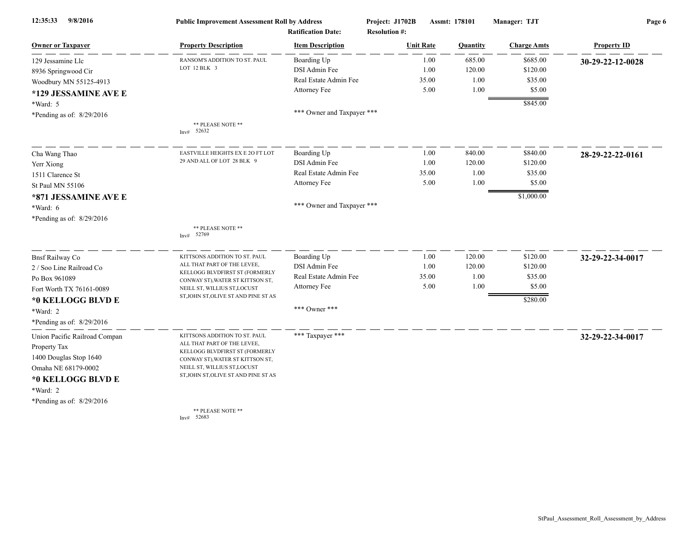| 9/8/2016<br>12:35:33          | <b>Public Improvement Assessment Roll by Address</b><br><b>Ratification Date:</b> |                            | Project: J1702B<br><b>Resolution #:</b> | Assmt: 178101 | Manager: TJT       | Page 6             |  |
|-------------------------------|-----------------------------------------------------------------------------------|----------------------------|-----------------------------------------|---------------|--------------------|--------------------|--|
| <b>Owner or Taxpayer</b>      | <b>Property Description</b>                                                       | <b>Item Description</b>    | <b>Unit Rate</b>                        | Quantity      | <b>Charge Amts</b> | <b>Property ID</b> |  |
| 129 Jessamine Llc             | RANSOM'S ADDITION TO ST. PAUL                                                     | Boarding Up                | 1.00                                    | 685.00        | \$685.00           | 30-29-22-12-0028   |  |
| 8936 Springwood Cir           | LOT 12 BLK 3                                                                      | DSI Admin Fee              | 1.00                                    | 120.00        | \$120.00           |                    |  |
| Woodbury MN 55125-4913        |                                                                                   | Real Estate Admin Fee      | 35.00                                   | 1.00          | \$35.00            |                    |  |
| *129 JESSAMINE AVE E          |                                                                                   | Attorney Fee               | 5.00                                    | 1.00          | \$5.00             |                    |  |
| *Ward: 5                      |                                                                                   |                            |                                         |               | \$845.00           |                    |  |
| *Pending as of: 8/29/2016     |                                                                                   | *** Owner and Taxpayer *** |                                         |               |                    |                    |  |
|                               | ** PLEASE NOTE **<br>Inv# 52632                                                   |                            |                                         |               |                    |                    |  |
| Cha Wang Thao                 | EASTVILLE HEIGHTS EX E 20 FT LOT                                                  | Boarding Up                | 1.00                                    | 840.00        | \$840.00           | 28-29-22-22-0161   |  |
| Yerr Xiong                    | 29 AND ALL OF LOT 28 BLK 9                                                        | DSI Admin Fee              | 1.00                                    | 120.00        | \$120.00           |                    |  |
| 1511 Clarence St              |                                                                                   | Real Estate Admin Fee      | 35.00                                   | 1.00          | \$35.00            |                    |  |
| St Paul MN 55106              |                                                                                   | Attorney Fee               | 5.00                                    | 1.00          | \$5.00             |                    |  |
| *871 JESSAMINE AVE E          |                                                                                   |                            |                                         |               | \$1,000.00         |                    |  |
| *Ward: 6                      |                                                                                   | *** Owner and Taxpayer *** |                                         |               |                    |                    |  |
| *Pending as of: 8/29/2016     |                                                                                   |                            |                                         |               |                    |                    |  |
|                               | ** PLEASE NOTE **<br>52769<br>Inv#                                                |                            |                                         |               |                    |                    |  |
| <b>Bnsf Railway Co</b>        | KITTSONS ADDITION TO ST. PAUL                                                     | Boarding Up                | 1.00                                    | 120.00        | \$120.00           | 32-29-22-34-0017   |  |
| 2 / Soo Line Railroad Co      | ALL THAT PART OF THE LEVEE,                                                       | DSI Admin Fee              | 1.00                                    | 120.00        | \$120.00           |                    |  |
| Po Box 961089                 | KELLOGG BLVDFIRST ST (FORMERLY<br>CONWAY ST), WATER ST KITTSON ST,                | Real Estate Admin Fee      | 35.00                                   | 1.00          | \$35.00            |                    |  |
| Fort Worth TX 76161-0089      | NEILL ST, WILLIUS ST, LOCUST                                                      | Attorney Fee               | 5.00                                    | 1.00          | \$5.00             |                    |  |
| *0 KELLOGG BLVD E             | ST, JOHN ST, OLIVE ST AND PINE ST AS                                              |                            |                                         |               | \$280.00           |                    |  |
| *Ward: 2                      |                                                                                   | *** Owner ***              |                                         |               |                    |                    |  |
| *Pending as of: 8/29/2016     |                                                                                   |                            |                                         |               |                    |                    |  |
| Union Pacific Railroad Compan | KITTSONS ADDITION TO ST. PAUL                                                     | *** Taxpayer ***           |                                         |               |                    | 32-29-22-34-0017   |  |
| Property Tax                  | ALL THAT PART OF THE LEVEE,                                                       |                            |                                         |               |                    |                    |  |
| 1400 Douglas Stop 1640        | KELLOGG BLVDFIRST ST (FORMERLY<br>CONWAY ST), WATER ST KITTSON ST,                |                            |                                         |               |                    |                    |  |
| Omaha NE 68179-0002           | NEILL ST, WILLIUS ST, LOCUST                                                      |                            |                                         |               |                    |                    |  |
| *0 KELLOGG BLVD E             | ST, JOHN ST, OLIVE ST AND PINE ST AS                                              |                            |                                         |               |                    |                    |  |
| *Ward: 2                      |                                                                                   |                            |                                         |               |                    |                    |  |
| *Pending as of: 8/29/2016     |                                                                                   |                            |                                         |               |                    |                    |  |
|                               | ** PLEASE NOTE **<br>Inv# 52683                                                   |                            |                                         |               |                    |                    |  |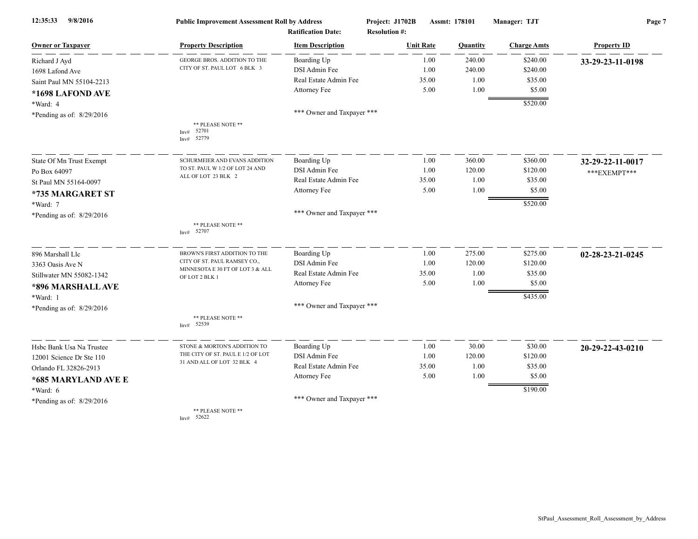| 12:35:33<br>9/8/2016        | <b>Public Improvement Assessment Roll by Address</b><br><b>Ratification Date:</b> |                            | Project: J1702B<br><b>Resolution #:</b> | Assmt: 178101 |                    | Page 7             |  |
|-----------------------------|-----------------------------------------------------------------------------------|----------------------------|-----------------------------------------|---------------|--------------------|--------------------|--|
| <b>Owner or Taxpayer</b>    | <b>Property Description</b>                                                       | <b>Item Description</b>    | <b>Unit Rate</b>                        | Quantity      | <b>Charge Amts</b> | <b>Property ID</b> |  |
| Richard J Ayd               | <b>GEORGE BROS. ADDITION TO THE</b>                                               | Boarding Up                | 1.00                                    | 240.00        | \$240.00           | 33-29-23-11-0198   |  |
| 1698 Lafond Ave             | CITY OF ST. PAUL LOT 6 BLK 3                                                      | DSI Admin Fee              | 1.00                                    | 240.00        | \$240.00           |                    |  |
| Saint Paul MN 55104-2213    |                                                                                   | Real Estate Admin Fee      | 35.00                                   | 1.00          | \$35.00            |                    |  |
| *1698 LAFOND AVE            |                                                                                   | Attorney Fee               | 5.00                                    | 1.00          | \$5.00             |                    |  |
| *Ward: 4                    |                                                                                   |                            |                                         |               | \$520.00           |                    |  |
| *Pending as of: 8/29/2016   |                                                                                   | *** Owner and Taxpayer *** |                                         |               |                    |                    |  |
|                             | ** PLEASE NOTE **<br>Inv# 52701<br>52779<br>Inv#                                  |                            |                                         |               |                    |                    |  |
| State Of Mn Trust Exempt    | SCHURMEIER AND EVANS ADDITION                                                     | Boarding Up                | 1.00                                    | 360.00        | \$360.00           | 32-29-22-11-0017   |  |
| Po Box 64097                | TO ST. PAUL W 1/2 OF LOT 24 AND                                                   | DSI Admin Fee              | 1.00                                    | 120.00        | \$120.00           | *** EXEMPT***      |  |
| St Paul MN 55164-0097       | ALL OF LOT 23 BLK 2                                                               | Real Estate Admin Fee      | 35.00                                   | 1.00          | \$35.00            |                    |  |
| *735 MARGARET ST            |                                                                                   | Attorney Fee               | 5.00                                    | 1.00          | \$5.00             |                    |  |
| *Ward: 7                    |                                                                                   |                            |                                         |               | \$520.00           |                    |  |
| *Pending as of: 8/29/2016   |                                                                                   | *** Owner and Taxpayer *** |                                         |               |                    |                    |  |
|                             | ** PLEASE NOTE **<br>Inv# 52707                                                   |                            |                                         |               |                    |                    |  |
| 896 Marshall Llc            | BROWN'S FIRST ADDITION TO THE                                                     | Boarding Up                | 1.00                                    | 275.00        | \$275.00           | 02-28-23-21-0245   |  |
| 3363 Oasis Ave N            | CITY OF ST. PAUL RAMSEY CO.,                                                      | DSI Admin Fee              | 1.00                                    | 120.00        | \$120.00           |                    |  |
| Stillwater MN 55082-1342    | MINNESOTA E 30 FT OF LOT 3 & ALL<br>OF LOT 2 BLK 1                                | Real Estate Admin Fee      | 35.00                                   | 1.00          | \$35.00            |                    |  |
| *896 MARSHALL AVE           |                                                                                   | Attorney Fee               | 5.00                                    | 1.00          | \$5.00             |                    |  |
| *Ward: 1                    |                                                                                   |                            |                                         |               | \$435.00           |                    |  |
| *Pending as of: 8/29/2016   |                                                                                   | *** Owner and Taxpayer *** |                                         |               |                    |                    |  |
|                             | ** PLEASE NOTE **<br>Inv# 52539                                                   |                            |                                         |               |                    |                    |  |
| Hsbc Bank Usa Na Trustee    | STONE & MORTON'S ADDITION TO                                                      | Boarding Up                | 1.00                                    | 30.00         | \$30.00            | 20-29-22-43-0210   |  |
| 12001 Science Dr Ste 110    | THE CITY OF ST. PAUL E 1/2 OF LOT<br>31 AND ALL OF LOT 32 BLK 4                   | DSI Admin Fee              | 1.00                                    | 120.00        | \$120.00           |                    |  |
| Orlando FL 32826-2913       |                                                                                   | Real Estate Admin Fee      | 35.00                                   | 1.00          | \$35.00            |                    |  |
| *685 MARYLAND AVE E         |                                                                                   | Attorney Fee               | 5.00                                    | 1.00          | \$5.00             |                    |  |
| *Ward: 6                    |                                                                                   |                            |                                         |               | \$190.00           |                    |  |
| *Pending as of: $8/29/2016$ |                                                                                   | *** Owner and Taxpayer *** |                                         |               |                    |                    |  |
|                             | ** PLEASE NOTE **                                                                 |                            |                                         |               |                    |                    |  |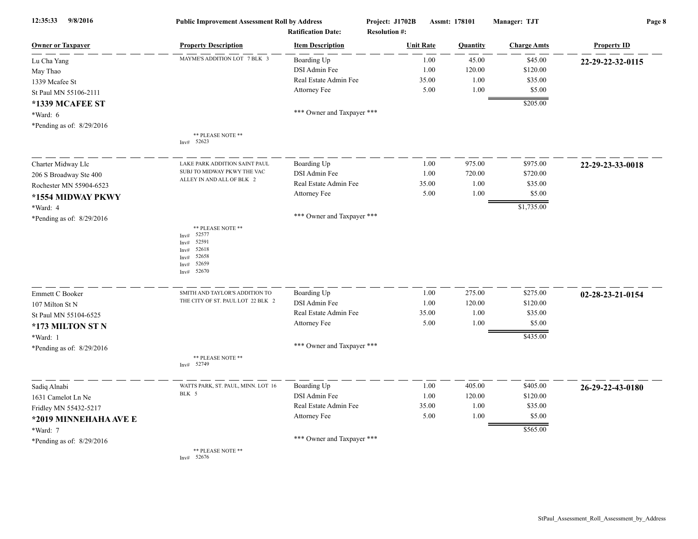| 12:35:33<br>9/8/2016        | <b>Public Improvement Assessment Roll by Address</b>                                                                    | <b>Ratification Date:</b>  | Project: J1702B<br><b>Resolution #:</b> | Assmt: 178101  | Manager: TJT       | Page 8             |
|-----------------------------|-------------------------------------------------------------------------------------------------------------------------|----------------------------|-----------------------------------------|----------------|--------------------|--------------------|
| <b>Owner or Taxpayer</b>    | <b>Property Description</b>                                                                                             | <b>Item Description</b>    | <b>Unit Rate</b>                        | Quantity       | <b>Charge Amts</b> | <b>Property ID</b> |
| Lu Cha Yang                 | MAYME'S ADDITION LOT 7 BLK 3                                                                                            | Boarding Up                |                                         | 45.00<br>1.00  | \$45.00            | 22-29-22-32-0115   |
| May Thao                    |                                                                                                                         | DSI Admin Fee              |                                         | 120.00<br>1.00 | \$120.00           |                    |
| 1339 Mcafee St              |                                                                                                                         | Real Estate Admin Fee      | 35.00                                   | 1.00           | \$35.00            |                    |
| St Paul MN 55106-2111       |                                                                                                                         | Attorney Fee               |                                         | 5.00<br>1.00   | \$5.00             |                    |
| *1339 MCAFEE ST             |                                                                                                                         |                            |                                         |                | \$205.00           |                    |
| *Ward: 6                    |                                                                                                                         | *** Owner and Taxpayer *** |                                         |                |                    |                    |
| *Pending as of: $8/29/2016$ |                                                                                                                         |                            |                                         |                |                    |                    |
|                             | ** PLEASE NOTE **<br>Inv# 52623                                                                                         |                            |                                         |                |                    |                    |
| Charter Midway Llc          | LAKE PARK ADDITION SAINT PAUL                                                                                           | Boarding Up                |                                         | 1.00<br>975.00 | \$975.00           | 22-29-23-33-0018   |
| 206 S Broadway Ste 400      | SUBJ TO MIDWAY PKWY THE VAC                                                                                             | DSI Admin Fee              |                                         | 1.00<br>720.00 | \$720.00           |                    |
| Rochester MN 55904-6523     | ALLEY IN AND ALL OF BLK 2                                                                                               | Real Estate Admin Fee      | 35.00                                   | 1.00           | \$35.00            |                    |
| *1554 MIDWAY PKWY           |                                                                                                                         | Attorney Fee               |                                         | 5.00<br>1.00   | \$5.00             |                    |
| *Ward: 4                    |                                                                                                                         |                            |                                         |                | \$1,735.00         |                    |
| *Pending as of: $8/29/2016$ |                                                                                                                         | *** Owner and Taxpayer *** |                                         |                |                    |                    |
|                             | ** PLEASE NOTE **<br>52577<br>Inv#<br>52591<br>InvH<br>52618<br>Inv#<br>52658<br>Inv#<br>52659<br>Inv#<br>52670<br>Inv# |                            |                                         |                |                    |                    |
| Emmett C Booker             | SMITH AND TAYLOR'S ADDITION TO                                                                                          | Boarding Up                |                                         | 275.00<br>1.00 | \$275.00           | 02-28-23-21-0154   |
| 107 Milton St N             | THE CITY OF ST. PAUL LOT 22 BLK 2                                                                                       | DSI Admin Fee              |                                         | 120.00<br>1.00 | \$120.00           |                    |
| St Paul MN 55104-6525       |                                                                                                                         | Real Estate Admin Fee      | 35.00                                   | 1.00           | \$35.00            |                    |
| *173 MILTON ST N            |                                                                                                                         | Attorney Fee               |                                         | 5.00<br>1.00   | \$5.00             |                    |
| *Ward: 1                    |                                                                                                                         |                            |                                         |                | \$435.00           |                    |
| *Pending as of: $8/29/2016$ |                                                                                                                         | *** Owner and Taxpayer *** |                                         |                |                    |                    |
|                             | ** PLEASE NOTE **<br>52749<br>Inv#                                                                                      |                            |                                         |                |                    |                    |
| Sadiq Alnabi                | WATTS PARK, ST. PAUL, MINN. LOT 16                                                                                      | Boarding Up                |                                         | 405.00<br>1.00 | \$405.00           | 26-29-22-43-0180   |
| 1631 Camelot Ln Ne          | BLK 5                                                                                                                   | DSI Admin Fee              |                                         | 120.00<br>1.00 | \$120.00           |                    |
| Fridley MN 55432-5217       |                                                                                                                         | Real Estate Admin Fee      | 35.00                                   | 1.00           | \$35.00            |                    |
| *2019 MINNEHAHA AVE E       |                                                                                                                         | Attorney Fee               |                                         | 5.00<br>1.00   | \$5.00             |                    |
| *Ward: 7                    |                                                                                                                         |                            |                                         |                | \$565.00           |                    |
| *Pending as of: $8/29/2016$ |                                                                                                                         | *** Owner and Taxpayer *** |                                         |                |                    |                    |
|                             | ** PLEASE NOTE **<br>52676<br>Inv#                                                                                      |                            |                                         |                |                    |                    |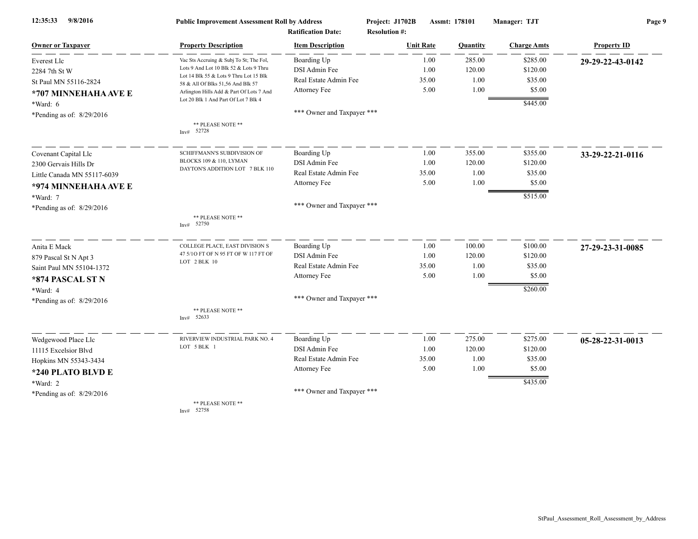| 9/8/2016<br>12:35:33        | <b>Public Improvement Assessment Roll by Address</b>                             |                            | Project: J1702B      | Assmt: 178101 |          | Manager: TJT       | Page 9             |  |
|-----------------------------|----------------------------------------------------------------------------------|----------------------------|----------------------|---------------|----------|--------------------|--------------------|--|
|                             |                                                                                  | <b>Ratification Date:</b>  | <b>Resolution #:</b> |               |          |                    |                    |  |
| <b>Owner or Taxpayer</b>    | <b>Property Description</b>                                                      | <b>Item Description</b>    | <b>Unit Rate</b>     |               | Quantity | <b>Charge Amts</b> | <b>Property ID</b> |  |
| <b>Everest Llc</b>          | Vac Sts Accruing & Subj To St; The Fol,                                          | Boarding Up                |                      | 1.00          | 285.00   | \$285.00           | 29-29-22-43-0142   |  |
| 2284 7th St W               | Lots 9 And Lot 10 Blk 52 & Lots 9 Thru<br>Lot 14 Blk 55 & Lots 9 Thru Lot 15 Blk | DSI Admin Fee              |                      | 1.00          | 120.00   | \$120.00           |                    |  |
| St Paul MN 55116-2824       | 58 & All Of Blks 51,56 And Blk 57                                                | Real Estate Admin Fee      |                      | 35.00         | 1.00     | \$35.00            |                    |  |
| *707 MINNEHAHA AVE E        | Arlington Hills Add & Part Of Lots 7 And                                         | Attorney Fee               |                      | 5.00          | 1.00     | \$5.00             |                    |  |
| *Ward: 6                    | Lot 20 Blk 1 And Part Of Lot 7 Blk 4                                             |                            |                      |               |          | \$445.00           |                    |  |
| *Pending as of: 8/29/2016   |                                                                                  | *** Owner and Taxpayer *** |                      |               |          |                    |                    |  |
|                             | ** PLEASE NOTE **<br>Inv# 52728                                                  |                            |                      |               |          |                    |                    |  |
| Covenant Capital Llc        | SCHIFFMANN'S SUBDIVISION OF                                                      | Boarding Up                |                      | 1.00          | 355.00   | \$355.00           | 33-29-22-21-0116   |  |
| 2300 Gervais Hills Dr       | BLOCKS 109 & 110, LYMAN                                                          | DSI Admin Fee              |                      | 1.00          | 120.00   | \$120.00           |                    |  |
| Little Canada MN 55117-6039 | DAYTON'S ADDITION LOT 7 BLK 110                                                  | Real Estate Admin Fee      |                      | 35.00         | 1.00     | \$35.00            |                    |  |
| *974 MINNEHAHA AVE E        |                                                                                  | Attorney Fee               |                      | 5.00          | 1.00     | \$5.00             |                    |  |
| *Ward: 7                    |                                                                                  |                            |                      |               |          | \$515.00           |                    |  |
| *Pending as of: 8/29/2016   |                                                                                  | *** Owner and Taxpayer *** |                      |               |          |                    |                    |  |
|                             | ** PLEASE NOTE **<br>Inv# 52750                                                  |                            |                      |               |          |                    |                    |  |
| Anita E Mack                | COLLEGE PLACE, EAST DIVISION S                                                   | Boarding Up                |                      | 1.00          | 100.00   | \$100.00           | 27-29-23-31-0085   |  |
| 879 Pascal St N Apt 3       | 47 5/10 FT OF N 95 FT OF W 117 FT OF                                             | DSI Admin Fee              |                      | 1.00          | 120.00   | \$120.00           |                    |  |
| Saint Paul MN 55104-1372    | LOT 2 BLK 10                                                                     | Real Estate Admin Fee      |                      | 35.00         | 1.00     | \$35.00            |                    |  |
| *874 PASCAL ST N            |                                                                                  | Attorney Fee               |                      | 5.00          | 1.00     | \$5.00             |                    |  |
| *Ward: 4                    |                                                                                  |                            |                      |               |          | \$260.00           |                    |  |
| *Pending as of: 8/29/2016   |                                                                                  | *** Owner and Taxpayer *** |                      |               |          |                    |                    |  |
|                             | ** PLEASE NOTE **<br>Inv# 52633                                                  |                            |                      |               |          |                    |                    |  |
| Wedgewood Place Llc         | RIVERVIEW INDUSTRIAL PARK NO. 4                                                  | Boarding Up                |                      | 1.00          | 275.00   | \$275.00           | 05-28-22-31-0013   |  |
| 11115 Excelsior Blvd        | LOT 5 BLK 1                                                                      | DSI Admin Fee              |                      | 1.00          | 120.00   | \$120.00           |                    |  |
| Hopkins MN 55343-3434       |                                                                                  | Real Estate Admin Fee      |                      | 35.00         | 1.00     | \$35.00            |                    |  |
| *240 PLATO BLVD E           |                                                                                  | Attorney Fee               |                      | 5.00          | 1.00     | \$5.00             |                    |  |
| *Ward: 2                    |                                                                                  |                            |                      |               |          | \$435.00           |                    |  |
| *Pending as of: 8/29/2016   |                                                                                  | *** Owner and Taxpayer *** |                      |               |          |                    |                    |  |
|                             | ** PLEASE NOTE **<br>52758                                                       |                            |                      |               |          |                    |                    |  |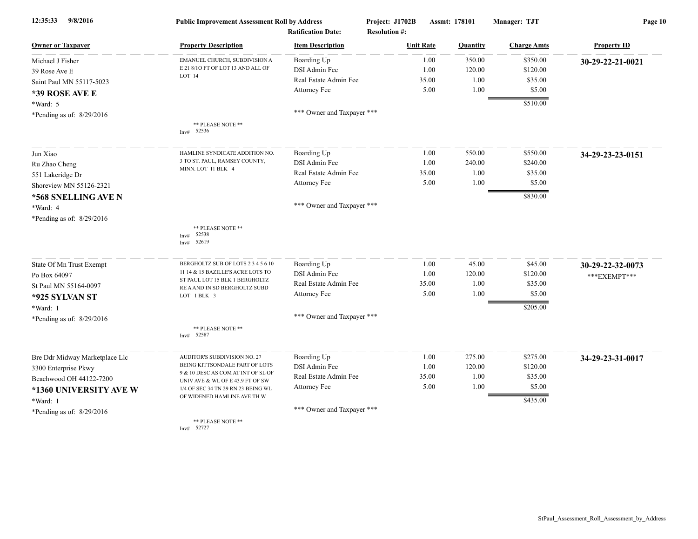| 9/8/2016<br>12:35:33           | <b>Public Improvement Assessment Roll by Address</b>                   |                            | Project: J1702B      | Assmt: 178101 |          | Manager: TJT       | Page 10            |  |
|--------------------------------|------------------------------------------------------------------------|----------------------------|----------------------|---------------|----------|--------------------|--------------------|--|
|                                |                                                                        | <b>Ratification Date:</b>  | <b>Resolution #:</b> |               |          |                    |                    |  |
| <b>Owner or Taxpayer</b>       | <b>Property Description</b>                                            | <b>Item Description</b>    | <b>Unit Rate</b>     |               | Quantity | <b>Charge Amts</b> | <b>Property ID</b> |  |
| Michael J Fisher               | EMANUEL CHURCH, SUBDIVISION A                                          | Boarding Up                |                      | 1.00          | 350.00   | \$350.00           | 30-29-22-21-0021   |  |
| 39 Rose Ave E                  | E 21 8/10 FT OF LOT 13 AND ALL OF<br>LOT 14                            | DSI Admin Fee              |                      | 1.00          | 120.00   | \$120.00           |                    |  |
| Saint Paul MN 55117-5023       |                                                                        | Real Estate Admin Fee      |                      | 35.00         | 1.00     | \$35.00            |                    |  |
| *39 ROSE AVE E                 |                                                                        | Attorney Fee               |                      | 5.00          | 1.00     | \$5.00             |                    |  |
| *Ward: 5                       |                                                                        |                            |                      |               |          | \$510.00           |                    |  |
| *Pending as of: 8/29/2016      |                                                                        | *** Owner and Taxpayer *** |                      |               |          |                    |                    |  |
|                                | ** PLEASE NOTE **<br>52536<br>Inv#                                     |                            |                      |               |          |                    |                    |  |
|                                |                                                                        |                            |                      |               |          |                    |                    |  |
| Jun Xiao                       | HAMLINE SYNDICATE ADDITION NO.                                         | Boarding Up                |                      | 1.00          | 550.00   | \$550.00           | 34-29-23-23-0151   |  |
| Ru Zhao Cheng                  | 3 TO ST. PAUL, RAMSEY COUNTY,                                          | DSI Admin Fee              |                      | 1.00          | 240.00   | \$240.00           |                    |  |
| 551 Lakeridge Dr               | MINN. LOT 11 BLK 4                                                     | Real Estate Admin Fee      |                      | 35.00         | 1.00     | \$35.00            |                    |  |
| Shoreview MN 55126-2321        |                                                                        | Attorney Fee               |                      | 5.00          | 1.00     | \$5.00             |                    |  |
| *568 SNELLING AVE N            |                                                                        |                            |                      |               |          | \$830.00           |                    |  |
| *Ward: 4                       |                                                                        | *** Owner and Taxpayer *** |                      |               |          |                    |                    |  |
| *Pending as of: 8/29/2016      |                                                                        |                            |                      |               |          |                    |                    |  |
|                                | ** PLEASE NOTE **<br>52538<br>Inv#<br>52619<br>Inv#                    |                            |                      |               |          |                    |                    |  |
| State Of Mn Trust Exempt       | BERGHOLTZ SUB OF LOTS 2 3 4 5 6 10                                     | Boarding Up                |                      | 1.00          | 45.00    | \$45.00            | 30-29-22-32-0073   |  |
| Po Box 64097                   | 11 14 & 15 BAZILLE'S ACRE LOTS TO                                      | DSI Admin Fee              |                      | 1.00          | 120.00   | \$120.00           | ***EXEMPT***       |  |
| St Paul MN 55164-0097          | ST PAUL LOT 15 BLK 1 BERGHOLTZ<br>RE A AND IN SD BERGHOLTZ SUBD        | Real Estate Admin Fee      |                      | 35.00         | 1.00     | \$35.00            |                    |  |
| *925 SYLVAN ST                 | LOT 1 BLK 3                                                            | Attorney Fee               |                      | 5.00          | 1.00     | \$5.00             |                    |  |
| *Ward: 1                       |                                                                        |                            |                      |               |          | \$205.00           |                    |  |
| *Pending as of: 8/29/2016      |                                                                        | *** Owner and Taxpayer *** |                      |               |          |                    |                    |  |
|                                | ** PLEASE NOTE **<br>Inv# 52587                                        |                            |                      |               |          |                    |                    |  |
| Bre Ddr Midway Marketplace Llc | AUDITOR'S SUBDIVISION NO. 27                                           | Boarding Up                |                      | 1.00          | 275.00   | \$275.00           | 34-29-23-31-0017   |  |
| 3300 Enterprise Pkwy           | BEING KITTSONDALE PART OF LOTS                                         | DSI Admin Fee              |                      | 1.00          | 120.00   | \$120.00           |                    |  |
| Beachwood OH 44122-7200        | 9 & 10 DESC AS COM AT INT OF SL OF                                     | Real Estate Admin Fee      |                      | 35.00         | 1.00     | \$35.00            |                    |  |
| *1360 UNIVERSITY AVE W         | UNIV AVE & WL OF E 43.9 FT OF SW<br>1/4 OF SEC 34 TN 29 RN 23 BEING WL | Attorney Fee               |                      | 5.00          | 1.00     | \$5.00             |                    |  |
| *Ward: 1                       | OF WIDENED HAMLINE AVE TH W                                            |                            |                      |               |          | \$435.00           |                    |  |
| *Pending as of: 8/29/2016      |                                                                        | *** Owner and Taxpayer *** |                      |               |          |                    |                    |  |
|                                | ** PLEASE NOTE **<br>Inv# 52727                                        |                            |                      |               |          |                    |                    |  |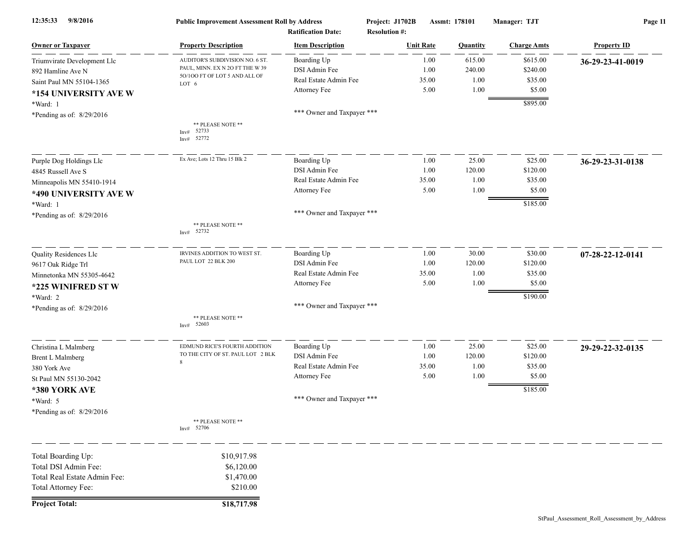| 12:35:33<br>9/8/2016         | <b>Public Improvement Assessment Roll by Address</b><br><b>Ratification Date:</b> |                            | Project: J1702B<br>Assmt: 178101<br><b>Resolution #:</b> |                  | Manager: TJT | Page 11            |                    |
|------------------------------|-----------------------------------------------------------------------------------|----------------------------|----------------------------------------------------------|------------------|--------------|--------------------|--------------------|
| <b>Owner or Taxpayer</b>     | <b>Property Description</b>                                                       | <b>Item Description</b>    |                                                          | <b>Unit Rate</b> | Quantity     | <b>Charge Amts</b> | <b>Property ID</b> |
| Triumvirate Development Llc  | AUDITOR'S SUBDIVISION NO. 6 ST.                                                   | Boarding Up                |                                                          | 1.00             | 615.00       | \$615.00           | 36-29-23-41-0019   |
| 892 Hamline Ave N            | PAUL, MINN. EX N 2O FT THE W 39                                                   | DSI Admin Fee              |                                                          | 1.00             | 240.00       | \$240.00           |                    |
| Saint Paul MN 55104-1365     | 50/100 FT OF LOT 5 AND ALL OF<br>LOT 6                                            | Real Estate Admin Fee      |                                                          | 35.00            | 1.00         | \$35.00            |                    |
| *154 UNIVERSITY AVE W        |                                                                                   | Attorney Fee               |                                                          | 5.00             | 1.00         | \$5.00             |                    |
| *Ward: 1                     |                                                                                   |                            |                                                          |                  |              | \$895.00           |                    |
| *Pending as of: 8/29/2016    |                                                                                   | *** Owner and Taxpayer *** |                                                          |                  |              |                    |                    |
|                              | ** PLEASE NOTE **<br>52733<br>Inv#<br>52772<br>Inv#                               |                            |                                                          |                  |              |                    |                    |
| Purple Dog Holdings Llc      | Ex Ave; Lots 12 Thru 15 Blk 2                                                     | Boarding Up                |                                                          | 1.00             | 25.00        | \$25.00            | 36-29-23-31-0138   |
| 4845 Russell Ave S           |                                                                                   | DSI Admin Fee              |                                                          | 1.00             | 120.00       | \$120.00           |                    |
| Minneapolis MN 55410-1914    |                                                                                   | Real Estate Admin Fee      |                                                          | 35.00            | 1.00         | \$35.00            |                    |
| *490 UNIVERSITY AVE W        |                                                                                   | Attorney Fee               |                                                          | 5.00             | 1.00         | \$5.00             |                    |
| *Ward: 1                     |                                                                                   |                            |                                                          |                  |              | \$185.00           |                    |
| *Pending as of: 8/29/2016    |                                                                                   | *** Owner and Taxpayer *** |                                                          |                  |              |                    |                    |
|                              | ** PLEASE NOTE **<br>52732<br>Inv#                                                |                            |                                                          |                  |              |                    |                    |
| Quality Residences Llc       | IRVINES ADDITION TO WEST ST.                                                      | Boarding Up                |                                                          | 1.00             | 30.00        | \$30.00            | 07-28-22-12-0141   |
| 9617 Oak Ridge Trl           | PAUL LOT 22 BLK 200                                                               | DSI Admin Fee              |                                                          | 1.00             | 120.00       | \$120.00           |                    |
| Minnetonka MN 55305-4642     |                                                                                   | Real Estate Admin Fee      |                                                          | 35.00            | 1.00         | \$35.00            |                    |
| *225 WINIFRED ST W           |                                                                                   | Attorney Fee               |                                                          | 5.00             | 1.00         | \$5.00             |                    |
| *Ward: 2                     |                                                                                   |                            |                                                          |                  |              | \$190.00           |                    |
| *Pending as of: 8/29/2016    |                                                                                   | *** Owner and Taxpayer *** |                                                          |                  |              |                    |                    |
|                              | ** PLEASE NOTE **<br>Inv# 52603                                                   |                            |                                                          |                  |              |                    |                    |
| Christina L Malmberg         | EDMUND RICE'S FOURTH ADDITION                                                     | Boarding Up                |                                                          | 1.00             | 25.00        | \$25.00            | 29-29-22-32-0135   |
| <b>Brent L Malmberg</b>      | TO THE CITY OF ST. PAUL LOT 2 BLK                                                 | DSI Admin Fee              |                                                          | 1.00             | 120.00       | \$120.00           |                    |
| 380 York Ave                 | 8                                                                                 | Real Estate Admin Fee      |                                                          | 35.00            | 1.00         | \$35.00            |                    |
| St Paul MN 55130-2042        |                                                                                   | Attorney Fee               |                                                          | 5.00             | 1.00         | \$5.00             |                    |
| *380 YORK AVE                |                                                                                   |                            |                                                          |                  |              | \$185.00           |                    |
| *Ward: 5                     |                                                                                   | *** Owner and Taxpayer *** |                                                          |                  |              |                    |                    |
| *Pending as of: 8/29/2016    |                                                                                   |                            |                                                          |                  |              |                    |                    |
|                              | ** PLEASE NOTE **<br>Inv# 52706                                                   |                            |                                                          |                  |              |                    |                    |
| Total Boarding Up:           | \$10,917.98                                                                       |                            |                                                          |                  |              |                    |                    |
| Total DSI Admin Fee:         | \$6,120.00                                                                        |                            |                                                          |                  |              |                    |                    |
| Total Real Estate Admin Fee: | \$1,470.00                                                                        |                            |                                                          |                  |              |                    |                    |
| Total Attorney Fee:          | \$210.00                                                                          |                            |                                                          |                  |              |                    |                    |
| <b>Project Total:</b>        | \$18,717.98                                                                       |                            |                                                          |                  |              |                    |                    |